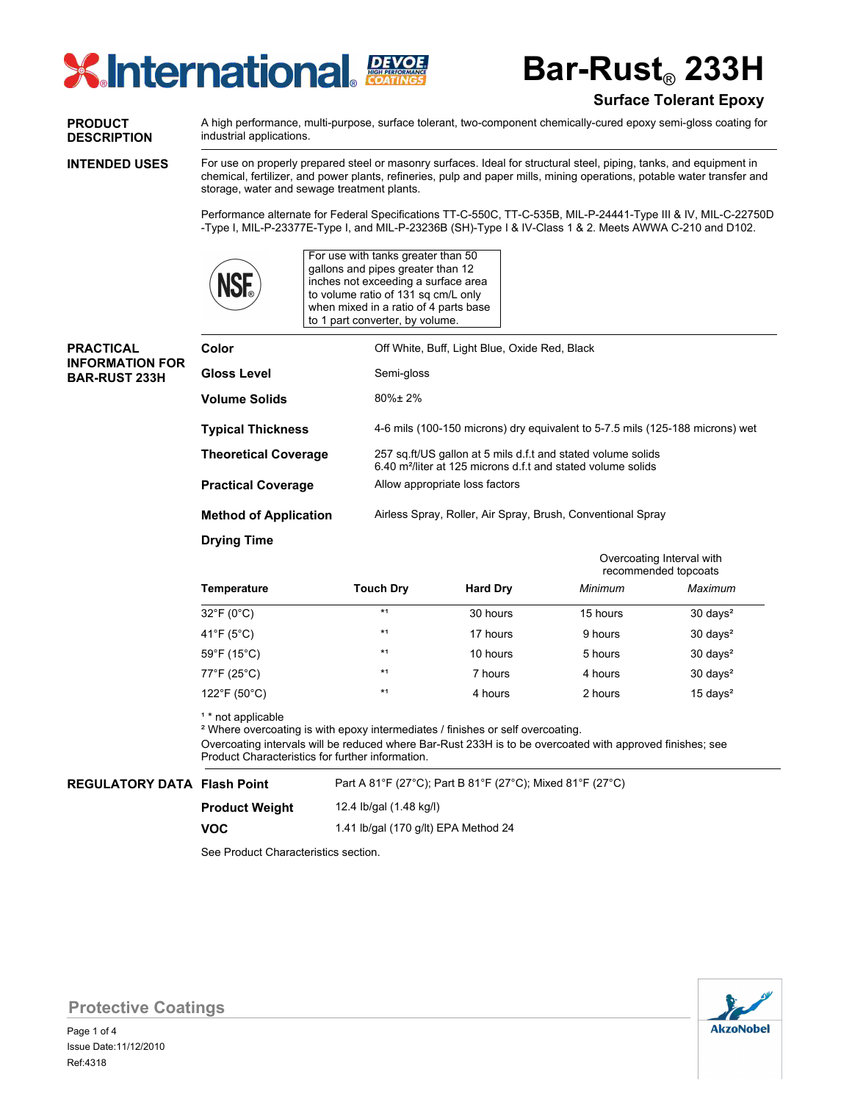

**Bar-Rust**® **233H**

# **Surface Tolerant Epoxy**

**PRODUCT DESCRIPTION**

**PRACTICAL INFORMATION FOR BAR-RUST 233H**

A high performance, multi-purpose, surface tolerant, two-component chemically-cured epoxy semi-gloss coating for industrial applications.

**INTENDED USES**

For use on properly prepared steel or masonry surfaces. Ideal for structural steel, piping, tanks, and equipment in chemical, fertilizer, and power plants, refineries, pulp and paper mills, mining operations, potable water transfer and storage, water and sewage treatment plants.

Performance alternate for Federal Specifications TT-C-550C, TT-C-535B, MIL-P-24441-Type III & IV, MIL-C-22750D -Type I, MIL-P-23377E-Type I, and MIL-P-23236B (SH)-Type I & IV-Class 1 & 2. Meets AWWA C-210 and D102.



For use with tanks greater than 50 gallons and pipes greater than 12 inches not exceeding a surface area to volume ratio of 131 sq cm/L only when mixed in a ratio of 4 parts base to 1 part converter, by volume.

| Color                        | Off White, Buff, Light Blue, Oxide Red, Black                                                                                            |  |  |
|------------------------------|------------------------------------------------------------------------------------------------------------------------------------------|--|--|
| Gloss Level                  | Semi-gloss                                                                                                                               |  |  |
| <b>Volume Solids</b>         | $80\% \pm 2\%$                                                                                                                           |  |  |
| <b>Typical Thickness</b>     | 4-6 mils (100-150 microns) dry equivalent to 5-7.5 mils (125-188 microns) wet                                                            |  |  |
| <b>Theoretical Coverage</b>  | 257 sq.ft/US gallon at 5 mils d.f.t and stated volume solids<br>6.40 m <sup>2</sup> /liter at 125 microns d.f.t and stated volume solids |  |  |
| <b>Practical Coverage</b>    | Allow appropriate loss factors                                                                                                           |  |  |
| <b>Method of Application</b> | Airless Spray, Roller, Air Spray, Brush, Conventional Spray                                                                              |  |  |

**Drying Time**

|              |                  |                 | Overcoating Interval with<br>recommended topcoats |                     |  |
|--------------|------------------|-----------------|---------------------------------------------------|---------------------|--|
| Temperature  | <b>Touch Dry</b> | <b>Hard Dry</b> | Minimum                                           | Maximum             |  |
| 32°F (0°C)   | $*1$             | 30 hours        | 15 hours                                          | $30 \text{ days}^2$ |  |
| 41°F (5°C)   | $*1$             | 17 hours        | 9 hours                                           | $30 \text{ days}^2$ |  |
| 59°F (15°C)  | $*1$             | 10 hours        | 5 hours                                           | $30 \text{ days}^2$ |  |
| 77°F (25°C)  | $*1$             | 7 hours         | 4 hours                                           | $30 \text{ days}^2$ |  |
| 122°F (50°C) | $*1$             | 4 hours         | 2 hours                                           | $15 \text{ days}^2$ |  |

<sup>1</sup> \* not applicable

² Where overcoating is with epoxy intermediates / finishes or self overcoating.

12.4 Ib/gal (1.48 kg/l)

Overcoating intervals will be reduced where Bar-Rust 233H is to be overcoated with approved finishes; see Product Characteristics for further information.

Part A 81°F (27°C); Part B 81°F (27°C); Mixed 81°F (27°C)

# **REGULATORY DATA Flash Point**

**Product Weight**

**VOC**

1.41 lb/gal (170 g/lt) EPA Method 24

See Product Characteristics section.



**Protective Coatings**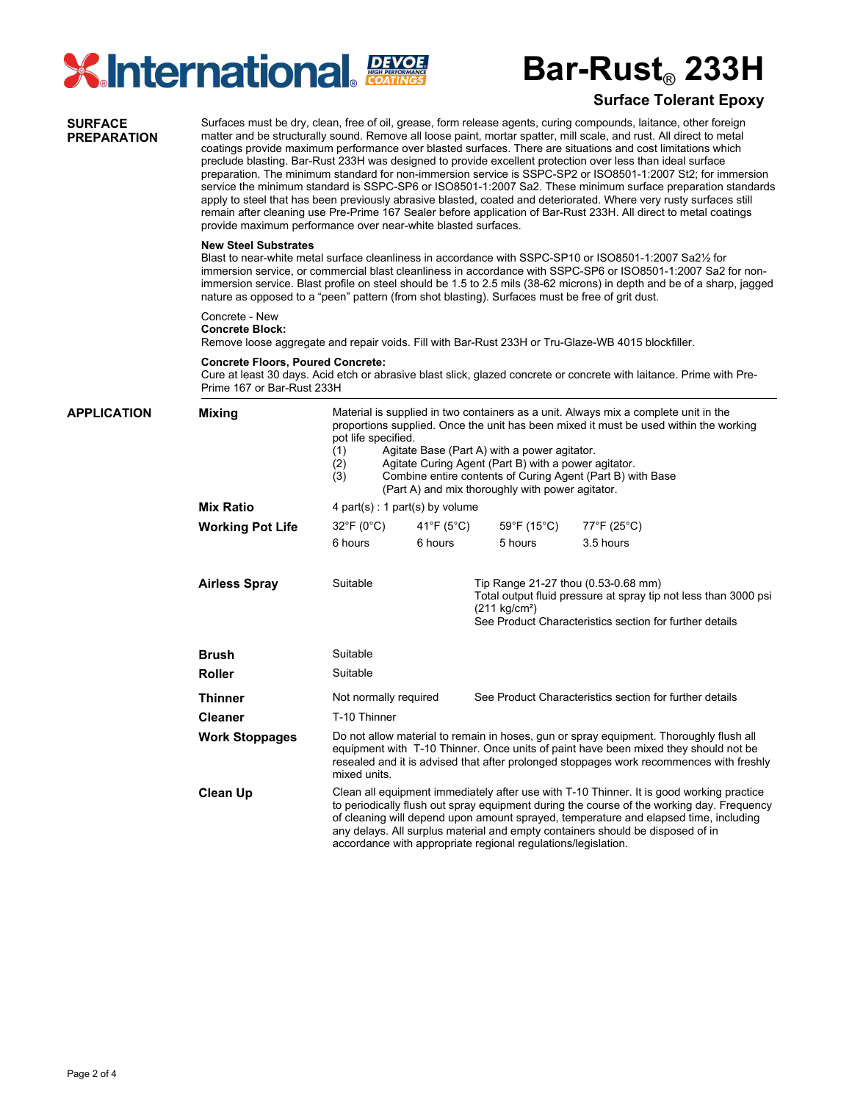

# **Bar-Rust**® **233H**

## **Surface Tolerant Epoxy**

Surfaces must be dry, clean, free of oil, grease, form release agents, curing compounds, laitance, other foreign matter and be structurally sound. Remove all loose paint, mortar spatter, mill scale, and rust. All direct to metal coatings provide maximum performance over blasted surfaces. There are situations and cost limitations which preclude blasting. Bar-Rust 233H was designed to provide excellent protection over less than ideal surface preparation. The minimum standard for non-immersion service is SSPC-SP2 or ISO8501-1:2007 St2; for immersion service the minimum standard is SSPC-SP6 or ISO8501-1:2007 Sa2. These minimum surface preparation standards apply to steel that has been previously abrasive blasted, coated and deteriorated. Where very rusty surfaces still remain after cleaning use Pre-Prime 167 Sealer before application of Bar-Rust 233H. All direct to metal coatings provide maximum performance over near-white blasted surfaces. **New Steel Substrates** Blast to near-white metal surface cleanliness in accordance with SSPC-SP10 or ISO8501-1:2007 Sa2½ for immersion service, or commercial blast cleanliness in accordance with SSPC-SP6 or ISO8501-1:2007 Sa2 for nonimmersion service. Blast profile on steel should be 1.5 to 2.5 mils (38-62 microns) in depth and be of a sharp, jagged nature as opposed to a "peen" pattern (from shot blasting). Surfaces must be free of grit dust. Concrete - New **Concrete Block:** Remove loose aggregate and repair voids. Fill with Bar-Rust 233H or Tru-Glaze-WB 4015 blockfiller. **Concrete Floors, Poured Concrete:** Cure at least 30 days. Acid etch or abrasive blast slick, glazed concrete or concrete with laitance. Prime with Pre-Prime 167 or Bar-Rust 233H **SURFACE PREPARATION** Material is supplied in two containers as a unit. Always mix a complete unit in the proportions supplied. Once the unit has been mixed it must be used within the working pot life specified. (1) Agitate Base (Part A) with a power agitator. (2) Agitate Curing Agent (Part B) with a power agitator. (3) Combine entire contents of Curing Agent (Part B) with Base (Part A) and mix thoroughly with power agitator. 4 part(s) : 1 part(s) by volume Suitable Suitable Not normally required T-10 Thinner Do not allow material to remain in hoses, gun or spray equipment. Thoroughly flush all equipment with T-10 Thinner. Once units of paint have been mixed they should not be resealed and it is advised that after prolonged stoppages work recommences with freshly mixed units. Clean all equipment immediately after use with T-10 Thinner. It is good working practice to periodically flush out spray equipment during the course of the working day. Frequency of cleaning will depend upon amount sprayed, temperature and elapsed time, including any delays. All surplus material and empty containers should be disposed of in accordance with appropriate regional regulations/legislation. See Product Characteristics section for further details Suitable Tip Range 21-27 thou (0.53-0.68 mm) Total output fluid pressure at spray tip not less than 3000 psi (211 kg/cm²) See Product Characteristics section for further details **APPLICATION Mixing Mix Ratio Working Pot Life Airless Spray Brush Roller Thinner Cleaner Work Stoppages Clean Up** 32°F (0°C) 41°F (5°C) 59°F (15°C) 77°F (25°C) 6 hours 6 hours 5 hours 3.5 hours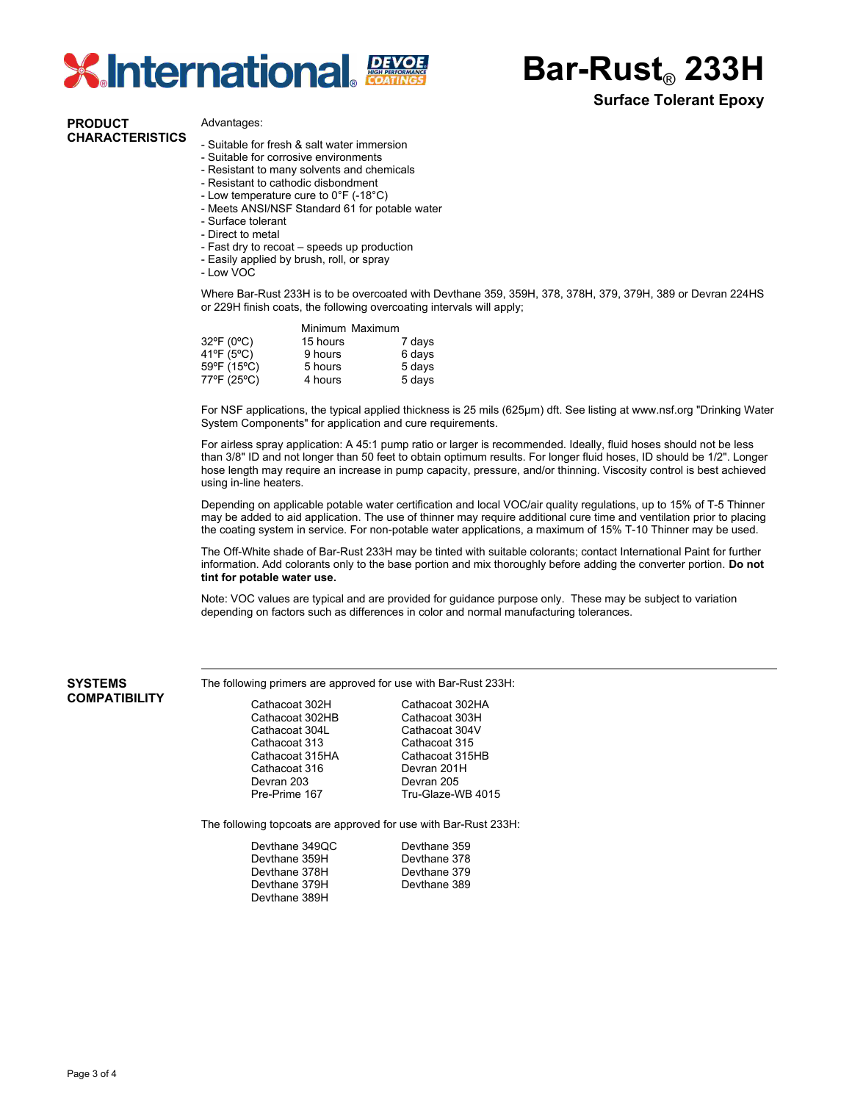

**Bar-Rust**® **233H**

## **Surface Tolerant Epoxy**

#### **PRODUCT CHARACTERISTICS**

#### Advantages:

- Suitable for fresh & salt water immersion
- Suitable for corrosive environments
- Resistant to many solvents and chemicals
- Resistant to cathodic disbondment
- Low temperature cure to 0°F (-18°C)
- Meets ANSI/NSF Standard 61 for potable water
- Surface tolerant
- Direct to metal
- Fast dry to recoat speeds up production
- Easily applied by brush, roll, or spray
- Low VOC

Where Bar-Rust 233H is to be overcoated with Devthane 359, 359H, 378, 378H, 379, 379H, 389 or Devran 224HS or 229H finish coats, the following overcoating intervals will apply;

| Minimum Maximum |        |
|-----------------|--------|
| 15 hours        | 7 days |
| 9 hours         | 6 days |
| 5 hours         | 5 days |
| 4 hours         | 5 days |
|                 |        |

For NSF applications, the typical applied thickness is 25 mils (625µm) dft. See listing at www.nsf.org "Drinking Water System Components" for application and cure requirements.

For airless spray application: A 45:1 pump ratio or larger is recommended. Ideally, fluid hoses should not be less than 3/8" ID and not longer than 50 feet to obtain optimum results. For longer fluid hoses, ID should be 1/2". Longer hose length may require an increase in pump capacity, pressure, and/or thinning. Viscosity control is best achieved using in-line heaters.

Depending on applicable potable water certification and local VOC/air quality regulations, up to 15% of T-5 Thinner may be added to aid application. The use of thinner may require additional cure time and ventilation prior to placing the coating system in service. For non-potable water applications, a maximum of 15% T-10 Thinner may be used.

The Off-White shade of Bar-Rust 233H may be tinted with suitable colorants; contact International Paint for further information. Add colorants only to the base portion and mix thoroughly before adding the converter portion. **Do not tint for potable water use.**

Note: VOC values are typical and are provided for guidance purpose only. These may be subject to variation depending on factors such as differences in color and normal manufacturing tolerances.

#### **SYSTEMS COMPATIBILITY**

The following primers are approved for use with Bar-Rust 233H:

| Cathacoat 302H  | Cathacoat 302HA   |
|-----------------|-------------------|
| Cathacoat 302HB | Cathacoat 303H    |
| Cathacoat 304L  | Cathacoat 304V    |
| Cathacoat 313   | Cathacoat 315     |
| Cathacoat 315HA | Cathacoat 315HB   |
| Cathacoat 316   | Devran 201H       |
| Devran 203      | Devran 205        |
| Pre-Prime 167   | Tru-Glaze-WB 4015 |
|                 |                   |

The following topcoats are approved for use with Bar-Rust 233H:

| Devthane 349QC | Devthane 359 |
|----------------|--------------|
| Devthane 359H  | Devthane 378 |
| Devthane 378H  | Devthane 379 |
| Devthane 379H  | Devthane 389 |
| Devthane 389H  |              |